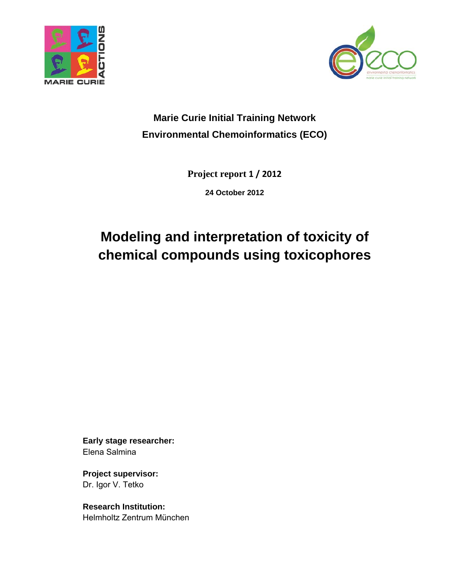



## **Marie Curie Initial Training Network Environmental Chemoinformatics (ECO)**

**Project report 1 / 2012**

**24 October 2012** 

# **Modeling and interpretation of toxicity of chemical compounds using toxicophores**

**Early stage researcher:**  Elena Salmina

**Project supervisor:**  Dr. Igor V. Tetko

**Research Institution:**  Helmholtz Zentrum München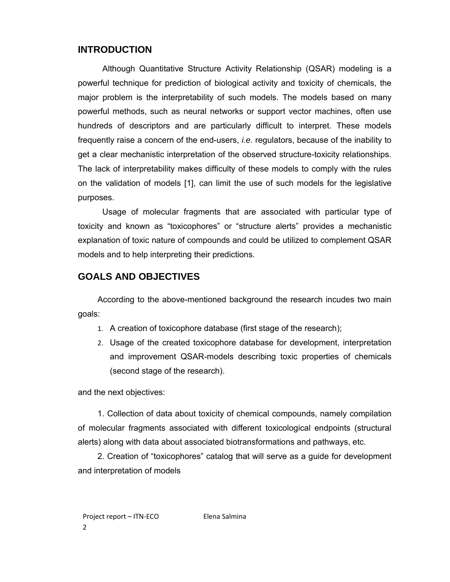## **INTRODUCTION**

Although Quantitative Structure Activity Relationship (QSAR) modeling is a powerful technique for prediction of biological activity and toxicity of chemicals, the major problem is the interpretability of such models. The models based on many powerful methods, such as neural networks or support vector machines, often use hundreds of descriptors and are particularly difficult to interpret. These models frequently raise a concern of the end-users, *i.e.* regulators, because of the inability to get a clear mechanistic interpretation of the observed structure-toxicity relationships. The lack of interpretability makes difficulty of these models to comply with the rules on the validation of models [1], can limit the use of such models for the legislative purposes.

Usage of molecular fragments that are associated with particular type of toxicity and known as "toxicophores" or "structure alerts" provides a mechanistic explanation of toxic nature of compounds and could be utilized to complement QSAR models and to help interpreting their predictions.

## **GOALS AND OBJECTIVES**

According to the above-mentioned background the research incudes two main goals:

- 1. A creation of toxicophore database (first stage of the research);
- 2. Usage of the created toxicophore database for development, interpretation and improvement QSAR-models describing toxic properties of chemicals (second stage of the research).

and the next objectives:

1. Collection of data about toxicity of chemical compounds, namely compilation of molecular fragments associated with different toxicological endpoints (structural alerts) along with data about associated biotransformations and pathways, etc.

2. Creation of "toxicophores" catalog that will serve as a guide for development and interpretation of models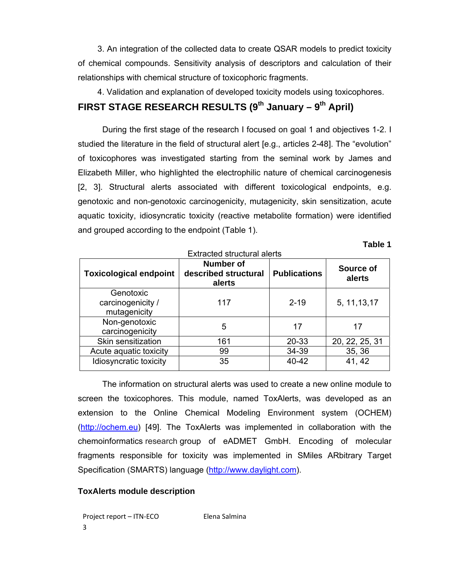3. An integration of the collected data to create QSAR models to predict toxicity of chemical compounds. Sensitivity analysis of descriptors and calculation of their relationships with chemical structure of toxicophoric fragments.

4. Validation and explanation of developed toxicity models using toxicophores.

## FIRST STAGE RESEARCH RESULTS (9<sup>th</sup> January – 9<sup>th</sup> April)

During the first stage of the research I focused on goal 1 and objectives 1-2. I studied the literature in the field of structural alert [e.g., articles 2-48]. The "evolution" of toxicophores was investigated starting from the seminal work by James and Elizabeth Miller, who highlighted the electrophilic nature of chemical carcinogenesis [2, 3]. Structural alerts associated with different toxicological endpoints, e.g. genotoxic and non-genotoxic carcinogenicity, mutagenicity, skin sensitization, acute aquatic toxicity, idiosyncratic toxicity (reactive metabolite formation) were identified and grouped according to the endpoint (Table 1).

**Table 1** 

| <b>Extracted structural alerts</b>             |                                             |                     |                     |  |
|------------------------------------------------|---------------------------------------------|---------------------|---------------------|--|
| <b>Toxicological endpoint</b>                  | Number of<br>described structural<br>alerts | <b>Publications</b> | Source of<br>alerts |  |
| Genotoxic<br>carcinogenicity /<br>mutagenicity | 117                                         | $2 - 19$            | 5, 11, 13, 17       |  |
| Non-genotoxic<br>carcinogenicity               | 5                                           | 17                  | 17                  |  |
| Skin sensitization                             | 161                                         | 20-33               | 20, 22, 25, 31      |  |
| Acute aquatic toxicity                         | 99                                          | 34-39               | 35, 36              |  |
| Idiosyncratic toxicity                         | 35                                          | 40-42               | 41, 42              |  |

The information on structural alerts was used to create a new online module to screen the toxicophores. This module, named ToxAlerts, was developed as an extension to the Online Chemical Modeling Environment system (OCHEM) (http://ochem.eu) [49]. The ToxAlerts was implemented in collaboration with the chemoinformatics research group of eADMET GmbH. Encoding of molecular fragments responsible for toxicity was implemented in SMiles ARbitrary Target Specification (SMARTS) language (http://www.daylight.com).

#### **ToxAlerts module description**

Project report – ITN-ECO Elena Salmina 3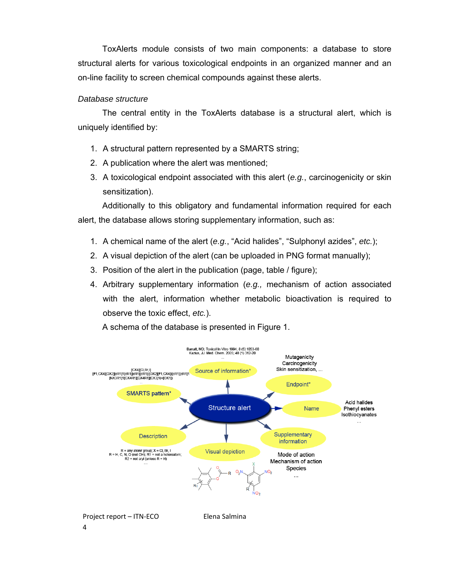ToxAlerts module consists of two main components: a database to store structural alerts for various toxicological endpoints in an organized manner and an on-line facility to screen chemical compounds against these alerts.

#### *Database structure*

The central entity in the ToxAlerts database is a structural alert, which is uniquely identified by:

- 1. A structural pattern represented by a SMARTS string;
- 2. A publication where the alert was mentioned;
- 3. A toxicological endpoint associated with this alert (*e.g.*, carcinogenicity or skin sensitization).

Additionally to this obligatory and fundamental information required for each alert, the database allows storing supplementary information, such as:

- 1. A chemical name of the alert (*e.g.*, "Acid halides", "Sulphonyl azides", *etc.*);
- 2. A visual depiction of the alert (can be uploaded in PNG format manually);
- 3. Position of the alert in the publication (page, table / figure);
- 4. Arbitrary supplementary information (*e.g.,* mechanism of action associated with the alert, information whether metabolic bioactivation is required to observe the toxic effect, *etc.*).

A schema of the database is presented in Figure 1.

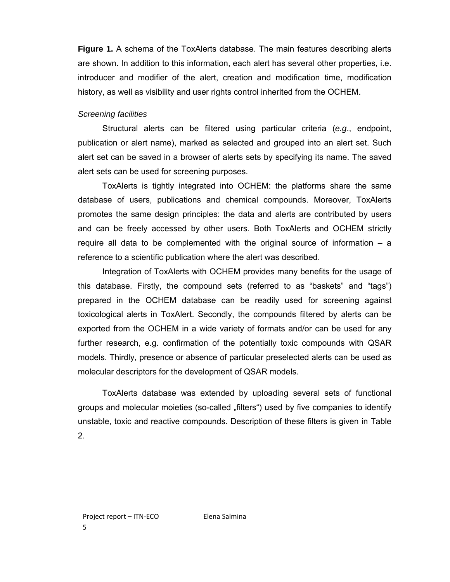**Figure 1.** A schema of the ToxAlerts database. The main features describing alerts are shown. In addition to this information, each alert has several other properties, i.e. introducer and modifier of the alert, creation and modification time, modification history, as well as visibility and user rights control inherited from the OCHEM.

#### *Screening facilities*

Structural alerts can be filtered using particular criteria (*e.g*., endpoint, publication or alert name), marked as selected and grouped into an alert set. Such alert set can be saved in a browser of alerts sets by specifying its name. The saved alert sets can be used for screening purposes.

ToxAlerts is tightly integrated into OCHEM: the platforms share the same database of users, publications and chemical compounds. Moreover, ToxAlerts promotes the same design principles: the data and alerts are contributed by users and can be freely accessed by other users. Both ToxAlerts and OCHEM strictly require all data to be complemented with the original source of information  $-$  a reference to a scientific publication where the alert was described.

Integration of ToxAlerts with OCHEM provides many benefits for the usage of this database. Firstly, the compound sets (referred to as "baskets" and "tags") prepared in the OCHEM database can be readily used for screening against toxicological alerts in ToxAlert. Secondly, the compounds filtered by alerts can be exported from the OCHEM in a wide variety of formats and/or can be used for any further research, e.g. confirmation of the potentially toxic compounds with QSAR models. Thirdly, presence or absence of particular preselected alerts can be used as molecular descriptors for the development of QSAR models.

ToxAlerts database was extended by uploading several sets of functional groups and molecular moieties (so-called "filters") used by five companies to identify unstable, toxic and reactive compounds. Description of these filters is given in Table 2.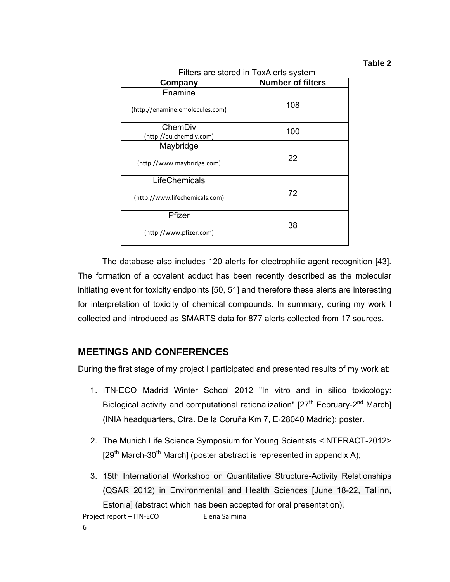#### **Table 2**

| Filters are stored in ToxAlerts system |                          |  |  |
|----------------------------------------|--------------------------|--|--|
| Company                                | <b>Number of filters</b> |  |  |
| Enamine                                |                          |  |  |
| (http://enamine.emolecules.com)        | 108                      |  |  |
| ChemDiv                                | 100                      |  |  |
| (http://eu.chemdiv.com)                |                          |  |  |
| Maybridge                              |                          |  |  |
| (http://www.maybridge.com)             | 22                       |  |  |
| LifeChemicals                          |                          |  |  |
| (http://www.lifechemicals.com)         | 72                       |  |  |
| Pfizer                                 |                          |  |  |
| (http://www.pfizer.com)                | 38                       |  |  |

The database also includes 120 alerts for electrophilic agent recognition [43]. The formation of a covalent adduct has been recently described as the molecular initiating event for toxicity endpoints [50, 51] and therefore these alerts are interesting for interpretation of toxicity of chemical compounds. In summary, during my work I collected and introduced as SMARTS data for 877 alerts collected from 17 sources.

## **MEETINGS AND CONFERENCES**

During the first stage of my project I participated and presented results of my work at:

- 1. ITN‐ECO Madrid Winter School 2012 "In vitro and in silico toxicology: Biological activity and computational rationalization"  $[27<sup>th</sup>$  February-2<sup>nd</sup> March] (INIA headquarters, Ctra. De la Coruña Km 7, E‐28040 Madrid); poster.
- 2. The Munich Life Science Symposium for Young Scientists <INTERACT-2012>  $[29<sup>th</sup> March-30<sup>th</sup> March]$  (poster abstract is represented in appendix A);
- Project report ITN-ECO Elena Salmina 3. 15th International Workshop on Quantitative Structure-Activity Relationships (QSAR 2012) in Environmental and Health Sciences [June 18-22, Tallinn, Estonia] (abstract which has been accepted for oral presentation).

6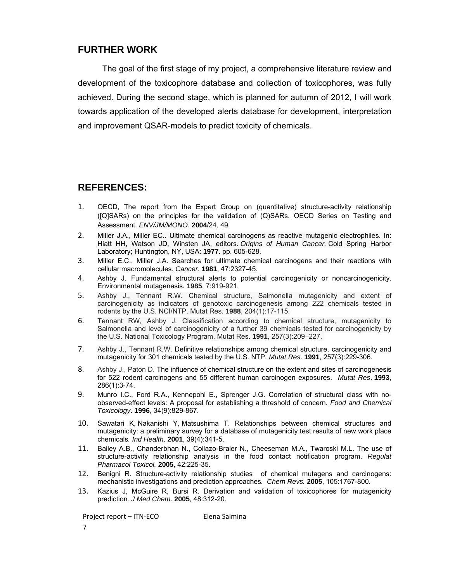## **FURTHER WORK**

The goal of the first stage of my project, a comprehensive literature review and development of the toxicophore database and collection of toxicophores, was fully achieved. During the second stage, which is planned for autumn of 2012, I will work towards application of the developed alerts database for development, interpretation and improvement QSAR-models to predict toxicity of chemicals.

## **REFERENCES:**

- 1. OECD, The report from the Expert Group on (quantitative) structure-activity relationship ([Q]SARs) on the principles for the validation of (Q)SARs. OECD Series on Testing and Assessment. *ENV/JM/MONO.* **2004**/24*,* 49.
- 2. Miller J.A., Miller EC.. Ultimate chemical carcinogens as reactive mutagenic electrophiles. In: Hiatt HH, Watson JD, Winsten JA, editors. *Origins of Human Cancer.* Cold Spring Harbor Laboratory; Huntington, NY, USA: **1977**. pp. 605-628.
- 3. Miller E.C., Miller J.A. Searches for ultimate chemical carcinogens and their reactions with cellular macromolecules. *Cancer*. **1981**, 47:2327-45.
- 4. Ashby J. Fundamental structural alerts to potential carcinogenicity or noncarcinogenicity. Environmental mutagenesis*.* **1985**, 7:919-921.
- 5. Ashby J., Tennant R.W. Chemical structure, Salmonella mutagenicity and extent of carcinogenicity as indicators of genotoxic carcinogenesis among 222 chemicals tested in rodents by the U.S. NCI/NTP. Mutat Res. **1988**, 204(1):17-115.
- 6. Tennant RW, Ashby J. Classification according to chemical structure, mutagenicity to Salmonella and level of carcinogenicity of a further 39 chemicals tested for carcinogenicity by the U.S. National Toxicology Program. Mutat Res. **1991**, 257(3):209–227.
- 7. Ashby J., Tennant R.W. Definitive relationships among chemical structure, carcinogenicity and mutagenicity for 301 chemicals tested by the U.S. NTP. *Mutat Res*. **1991**, 257(3):229-306.
- 8. Ashby J., Paton D. The influence of chemical structure on the extent and sites of carcinogenesis for 522 rodent carcinogens and 55 different human carcinogen exposures. *Mutat Res*. **1993**, 286(1):3-74.
- 9. Munro I.C., Ford R.A., Kennepohl E., Sprenger J.G. Correlation of structural class with noobserved-effect levels: A proposal for establishing a threshold of concern. *Food and Chemical Toxicology*. **1996**, 34(9):829-867.
- 10. Sawatari K, Nakanishi Y, Matsushima T. Relationships between chemical structures and mutagenicity: a preliminary survey for a database of mutagenicity test results of new work place chemicals*. Ind Health*. **2001**, 39(4):341-5.
- 11. Bailey A.B., Chanderbhan N., Collazo-Braier N., Cheeseman M.A., Twaroski M.L. The use of structure-activity relationship analysis in the food contact notification program. *Regulat Pharmacol Toxicol.* **2005**, 42:225-35.
- 12. Benigni R. Structure-activity relationship studies of chemical mutagens and carcinogens: mechanistic investigations and prediction approaches*. Chem Revs.* **2005**, 105:1767-800.
- 13. Kazius J, McGuire R, Bursi R. Derivation and validation of toxicophores for mutagenicity prediction*. J Med Chem*. **2005**, 48:312-20.

Project report – ITN-ECO Elena Salmina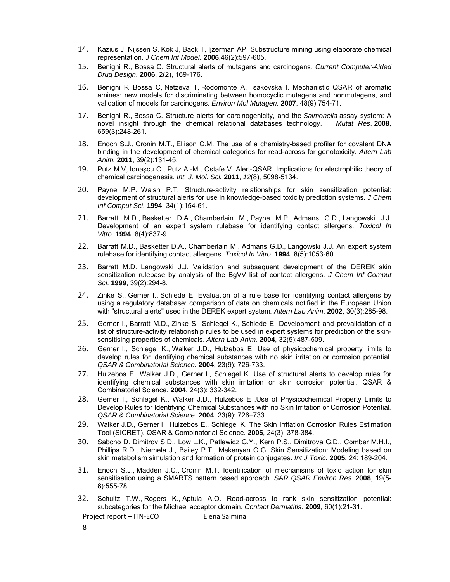- 14. Kazius J, Nijssen S, Kok J, Bäck T, Ijzerman AP. Substructure mining using elaborate chemical representation. *J Chem Inf Model*. **2006**,46(2):597-605.
- 15. Benigni R., Bossa C. Structural alerts of mutagens and carcinogens. *Current Computer-Aided Drug Design*. **2006**, 2(2), 169-176.
- 16. Benigni R, Bossa C, Netzeva T, Rodomonte A, Tsakovska I. Mechanistic QSAR of aromatic amines: new models for discriminating between homocyclic mutagens and nonmutagens, and validation of models for carcinogens. *Environ Mol Mutagen*. **2007**, 48(9):754-71.
- 17. Benigni R., Bossa C. Structure alerts for carcinogenicity, and the *Salmonella* assay system: A novel insight through the chemical relational databases technology. *Mutat Res*. **2008**, 659(3):248-261.
- 18. Enoch S.J., Cronin M.T., Ellison C.M. The use of a chemistry-based profiler for covalent DNA binding in the development of chemical categories for read-across for genotoxicity. *Altern Lab Anim.* **2011**, 39(2):131-45.
- 19. Putz M.V, Ionaşcu C., Putz A.-M., Ostafe V. Alert-QSAR. Implications for electrophilic theory of chemical carcinogenesis. *Int. J. Mol. Sci.* **2011**, *12*(8), 5098-5134.
- 20. Payne M.P., Walsh P.T. Structure-activity relationships for skin sensitization potential: development of structural alerts for use in knowledge-based toxicity prediction systems. *J Chem Inf Comput Sci*. **1994**, 34(1):154-61.
- 21. Barratt M.D., Basketter D.A., Chamberlain M., Payne M.P., Admans G.D., Langowski J.J. Development of an expert system rulebase for identifying contact allergens. *Toxicol In Vitro*. **1994**, 8(4):837-9.
- 22. Barratt M.D., Basketter D.A., Chamberlain M., Admans G.D., Langowski J.J. An expert system rulebase for identifying contact allergens. *Toxicol In Vitro*. **1994**, 8(5):1053-60.
- 23. Barratt M.D., Langowski J.J. Validation and subsequent development of the DEREK skin sensitization rulebase by analysis of the BgVV list of contact allergens. *J Chem Inf Comput Sci*. **1999**, 39(2):294-8.
- 24. Zinke S., Gerner I., Schlede E. Evaluation of a rule base for identifying contact allergens by using a regulatory database: comparison of data on chemicals notified in the European Union with "structural alerts" used in the DEREK expert system*. Altern Lab Anim*. **2002**, 30(3):285-98.
- 25. Gerner I., Barratt M.D., Zinke S., Schlegel K., Schlede E. Development and prevalidation of a list of structure-activity relationship rules to be used in expert systems for prediction of the skinsensitising properties of chemicals. *Altern Lab Anim.* **2004**, 32(5):487-509.
- 26. Gerner I., Schlegel K., Walker J.D., Hulzebos E. Use of physicochemical property limits to develop rules for identifying chemical substances with no skin irritation or corrosion potential*. QSAR & Combinatorial Science.* **2004**, 23(9): 726-733.
- 27. Hulzebos E., Walker J.D., Gerner I., Schlegel K. Use of structural alerts to develop rules for identifying chemical substances with skin irritation or skin corrosion potential. QSAR & Combinatorial Science. **2004**, 24(3): 332-342.
- 28. Gerner I., Schlegel K., Walker J.D., Hulzebos E .Use of Physicochemical Property Limits to Develop Rules for Identifying Chemical Substances with no Skin Irritation or Corrosion Potential*. QSAR & Combinatorial Science.* **2004**, 23(9): 726–733.
- 29. Walker J.D., Gerner I., Hulzebos E., Schlegel K. The Skin Irritation Corrosion Rules Estimation Tool (SICRET). QSAR & Combinatorial Science. **2005**, 24(3): 378-384.
- 30. Sabcho D. Dimitrov S.D., Low L.K., Patlewicz G.Y., Kern P.S., Dimitrova G.D., Comber M.H.I., Phillips R.D., Niemela J., Bailey P.T., Mekenyan O.G. Skin Sensitization: Modeling based on skin metabolism simulation and formation of protein conjugates**.** *Int J Toxic***. 2005,** 24: 189-204.
- 31. Enoch S.J., Madden J.C., Cronin M.T. Identification of mechanisms of toxic action for skin sensitisation using a SMARTS pattern based approach. *SAR QSAR Environ Res*. **2008**, 19(5- 6):555-78.
- 32. Schultz T.W., Rogers K., Aptula A.O. Read-across to rank skin sensitization potential: subcategories for the Michael acceptor domain. *Contact Dermatitis*. **2009**, 60(1):21-31.

Project report – ITN-ECO Elena Salmina

8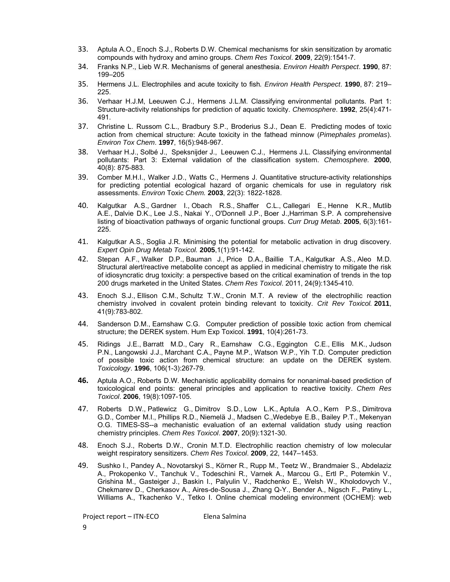- 33. Aptula A.O., Enoch S.J., Roberts D.W. Chemical mechanisms for skin sensitization by aromatic compounds with hydroxy and amino groups. *Chem Res Toxicol*. **2009**, 22(9):1541-7.
- 34. Franks N.P., Lieb W.R. Mechanisms of general anesthesia. *Environ Health Perspect*. **1990**, 87: 199–205
- 35. Hermens J.L. Electrophiles and acute toxicity to fish*. Environ Health Perspect*. **1990**, 87: 219– 225.
- 36. Verhaar H.J.M, Leeuwen C.J., Hermens J.L.M. Classifying environmental pollutants. Part 1: Structure-activity relationships for prediction of aquatic toxicity. *Chemosphere*. **1992**, 25(4):471- 491.
- 37. Christine L. Russom C.L., Bradbury S.P., Broderius S.J., Dean E. Predicting modes of toxic action from chemical structure: Acute toxicity in the fathead minnow (*Pimephales promelas*). *Environ Tox Chem*. **1997**, 16(5):948-967.
- 38. Verhaar H.J., Solbé J., Speksnijder J., Leeuwen C.J., Hermens J.L. Classifying environmental pollutants: Part 3: External validation of the classification system. *Chemosphere.* **2000**, 40(8): 875-883.
- 39. Comber M.H.I., Walker J.D., Watts C., Hermens J. Quantitative structure-activity relationships for predicting potential ecological hazard of organic chemicals for use in regulatory risk assessments. *Environ* Toxic *Chem.* **2003**, 22(3): 1822-1828.
- 40. Kalgutkar A.S., Gardner I., Obach R.S., Shaffer C.L., Callegari E., Henne K.R., Mutlib A.E., Dalvie D.K., Lee J.S., Nakai Y., O'Donnell J.P., Boer J.,Harriman S.P. A comprehensive listing of bioactivation pathways of organic functional groups. *Curr Drug Metab*. **2005**, 6(3):161- 225.
- 41. Kalgutkar A.S., Soglia J.R. Minimising the potential for metabolic activation in drug discovery. *Expert Opin Drug Metab Toxicol.* **2005**,1(1):91-142.
- 42. Stepan A.F., Walker D.P., Bauman J., Price D.A., Baillie T.A., Kalgutkar A.S., Aleo M.D. Structural alert/reactive metabolite concept as applied in medicinal chemistry to mitigate the risk of idiosyncratic drug toxicity: a perspective based on the critical examination of trends in the top 200 drugs marketed in the United States. *Chem Res Toxicol*. 2011, 24(9):1345-410.
- 43. Enoch S.J., Ellison C.M., Schultz T.W., Cronin M.T. A review of the electrophilic reaction chemistry involved in covalent protein binding relevant to toxicity. *Crit Rev Toxicol.* **2011**, 41(9):783-802.
- 44. Sanderson D.M., Earnshaw C.G. Computer prediction of possible toxic action from chemical structure; the DEREK system. Hum Exp Toxicol. **1991**, 10(4):261-73.
- 45. Ridings J.E., Barratt M.D., Cary R., Earnshaw C.G., Eggington C.E., Ellis M.K., Judson P.N., Langowski J.J., Marchant C.A., Payne M.P., Watson W.P., Yih T.D. Computer prediction of possible toxic action from chemical structure: an update on the DEREK system. *Toxicology*. **1996**, 106(1-3):267-79.
- **46.** Aptula A.O., Roberts D.W. Mechanistic applicability domains for nonanimal-based prediction of toxicological end points: general principles and application to reactive toxicity. *Chem Res Toxicol*. **2006**, 19(8):1097-105.
- 47. Roberts D.W., Patlewicz G., Dimitrov S.D., Low L.K., Aptula A.O., Kern P.S., Dimitrova G.D., Comber M.I., Phillips R.D., Niemelä J., Madsen C.,Wedebye E.B., Bailey P.T., Mekenyan O.G. TIMES-SS--a mechanistic evaluation of an external validation study using reaction chemistry principles. *Chem Res Toxicol*. **2007**, 20(9):1321-30.
- 48. Enoch S.J., Roberts D.W., Cronin M.T.D. Electrophilic reaction chemistry of low molecular weight respiratory sensitizers. *Chem Res Toxicol*. **2009**, 22, 1447–1453.
- 49. Sushko I., Pandey A., Novotarskyi S., Körner R., Rupp M., Teetz W., Brandmaier S., Abdelaziz A., Prokopenko V., Tanchuk V., Todeschini R., Varnek A., Marcou G., Ertl P., Potemkin V., Grishina M., Gasteiger J., Baskin I., Palyulin V., Radchenko E., Welsh W., Kholodovych V., Chekmarev D., Cherkasov A., Aires-de-Sousa J., Zhang Q-Y., Bender A., Nigsch F., Patiny L., Williams A., Tkachenko V., Tetko I. Online chemical modeling environment (OCHEM): web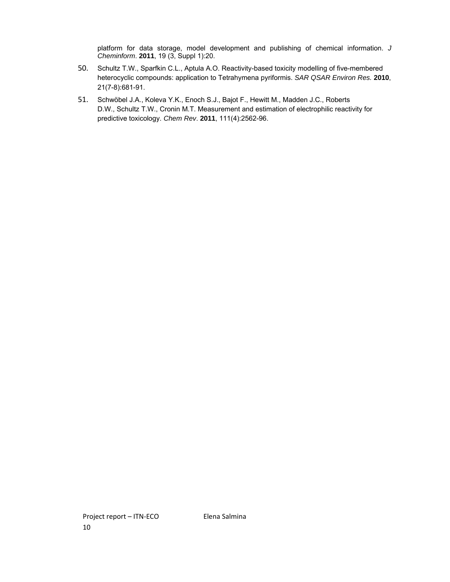platform for data storage, model development and publishing of chemical information. *J Cheminform*. **2011**, 19 (3, Suppl 1):20.

- 50. Schultz T.W., Sparfkin C.L., Aptula A.O. Reactivity-based toxicity modelling of five-membered heterocyclic compounds: application to Tetrahymena pyriformis. *SAR QSAR Environ Res.* **2010**, 21(7-8):681-91.
- 51. Schwöbel J.A., Koleva Y.K., Enoch S.J., Bajot F., Hewitt M., Madden J.C., Roberts D.W., Schultz T.W., Cronin M.T. Measurement and estimation of electrophilic reactivity for predictive toxicology. *Chem Rev*. **2011**, 111(4):2562-96.